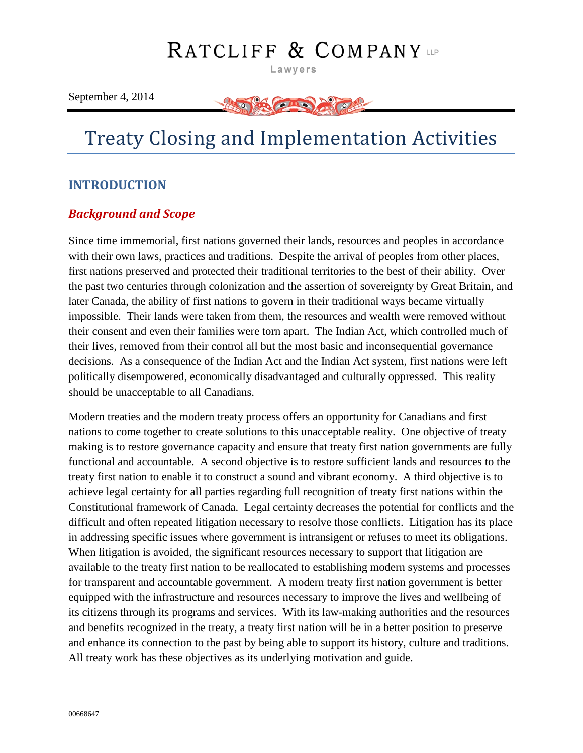# RATCLIFF & COMPANY

Lawyers

September 4, 2014



# Treaty Closing and Implementation Activities

## <span id="page-0-0"></span>**INTRODUCTION**

## <span id="page-0-1"></span>*Background and Scope*

Since time immemorial, first nations governed their lands, resources and peoples in accordance with their own laws, practices and traditions. Despite the arrival of peoples from other places, first nations preserved and protected their traditional territories to the best of their ability. Over the past two centuries through colonization and the assertion of sovereignty by Great Britain, and later Canada, the ability of first nations to govern in their traditional ways became virtually impossible. Their lands were taken from them, the resources and wealth were removed without their consent and even their families were torn apart. The Indian Act, which controlled much of their lives, removed from their control all but the most basic and inconsequential governance decisions. As a consequence of the Indian Act and the Indian Act system, first nations were left politically disempowered, economically disadvantaged and culturally oppressed. This reality should be unacceptable to all Canadians.

Modern treaties and the modern treaty process offers an opportunity for Canadians and first nations to come together to create solutions to this unacceptable reality. One objective of treaty making is to restore governance capacity and ensure that treaty first nation governments are fully functional and accountable. A second objective is to restore sufficient lands and resources to the treaty first nation to enable it to construct a sound and vibrant economy. A third objective is to achieve legal certainty for all parties regarding full recognition of treaty first nations within the Constitutional framework of Canada. Legal certainty decreases the potential for conflicts and the difficult and often repeated litigation necessary to resolve those conflicts. Litigation has its place in addressing specific issues where government is intransigent or refuses to meet its obligations. When litigation is avoided, the significant resources necessary to support that litigation are available to the treaty first nation to be reallocated to establishing modern systems and processes for transparent and accountable government. A modern treaty first nation government is better equipped with the infrastructure and resources necessary to improve the lives and wellbeing of its citizens through its programs and services. With its law-making authorities and the resources and benefits recognized in the treaty, a treaty first nation will be in a better position to preserve and enhance its connection to the past by being able to support its history, culture and traditions. All treaty work has these objectives as its underlying motivation and guide.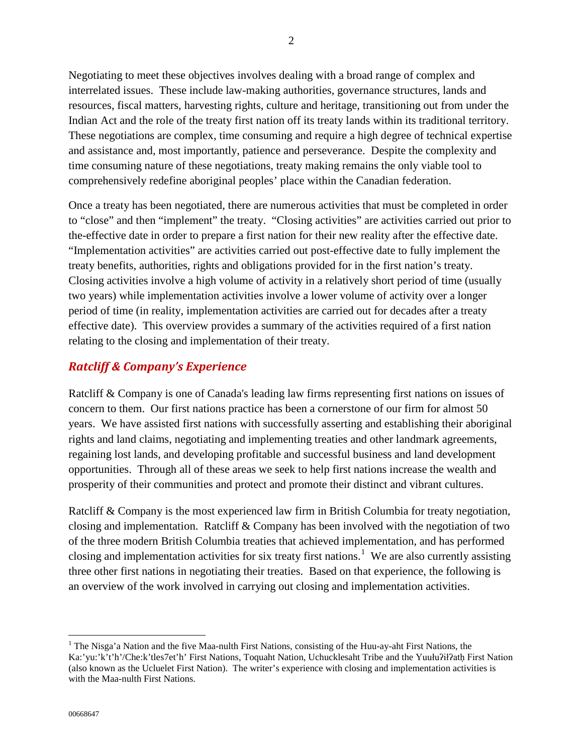Negotiating to meet these objectives involves dealing with a broad range of complex and interrelated issues. These include law-making authorities, governance structures, lands and resources, fiscal matters, harvesting rights, culture and heritage, transitioning out from under the Indian Act and the role of the treaty first nation off its treaty lands within its traditional territory. These negotiations are complex, time consuming and require a high degree of technical expertise and assistance and, most importantly, patience and perseverance. Despite the complexity and time consuming nature of these negotiations, treaty making remains the only viable tool to comprehensively redefine aboriginal peoples' place within the Canadian federation.

Once a treaty has been negotiated, there are numerous activities that must be completed in order to "close" and then "implement" the treaty. "Closing activities" are activities carried out prior to the-effective date in order to prepare a first nation for their new reality after the effective date. "Implementation activities" are activities carried out post-effective date to fully implement the treaty benefits, authorities, rights and obligations provided for in the first nation's treaty. Closing activities involve a high volume of activity in a relatively short period of time (usually two years) while implementation activities involve a lower volume of activity over a longer period of time (in reality, implementation activities are carried out for decades after a treaty effective date). This overview provides a summary of the activities required of a first nation relating to the closing and implementation of their treaty.

## <span id="page-1-1"></span>*Ratcliff & Company's Experience*

Ratcliff & Company is one of Canada's leading law firms representing first nations on issues of concern to them. Our first nations practice has been a cornerstone of our firm for almost 50 years. We have assisted first nations with successfully asserting and establishing their aboriginal rights and land claims, negotiating and implementing treaties and other landmark agreements, regaining lost lands, and developing profitable and successful business and land development opportunities. Through all of these areas we seek to help first nations increase the wealth and prosperity of their communities and protect and promote their distinct and vibrant cultures.

Ratcliff & Company is the most experienced law firm in British Columbia for treaty negotiation, closing and implementation. Ratcliff & Company has been involved with the negotiation of two of the three modern British Columbia treaties that achieved implementation, and has performed closing and implementation activities for six treaty first nations.<sup>[1](#page-1-0)</sup> We are also currently assisting three other first nations in negotiating their treaties. Based on that experience, the following is an overview of the work involved in carrying out closing and implementation activities.

<span id="page-1-0"></span><sup>&</sup>lt;sup>1</sup> The Nisga'a Nation and the five Maa-nulth First Nations, consisting of the Huu-ay-aht First Nations, the Ka:'yu:'k't'h'/Che:k'tles7et'h' First Nations, Toquaht Nation, Uchucklesaht Tribe and the Yuułuʔiłʔatḥ First Nation (also known as the Ucluelet First Nation). The writer's experience with closing and implementation activities is with the Maa-nulth First Nations.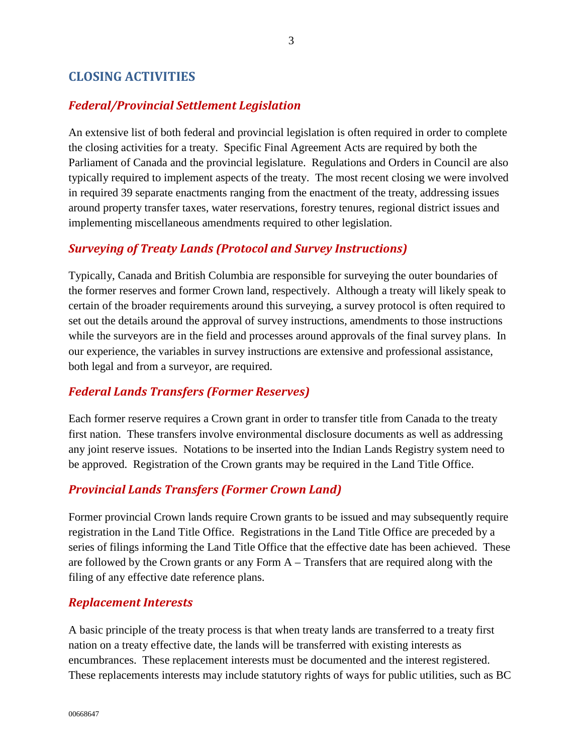## <span id="page-2-0"></span>**CLOSING ACTIVITIES**

#### <span id="page-2-1"></span>*Federal/Provincial Settlement Legislation*

An extensive list of both federal and provincial legislation is often required in order to complete the closing activities for a treaty. Specific Final Agreement Acts are required by both the Parliament of Canada and the provincial legislature. Regulations and Orders in Council are also typically required to implement aspects of the treaty. The most recent closing we were involved in required 39 separate enactments ranging from the enactment of the treaty, addressing issues around property transfer taxes, water reservations, forestry tenures, regional district issues and implementing miscellaneous amendments required to other legislation.

#### <span id="page-2-2"></span>*Surveying of Treaty Lands (Protocol and Survey Instructions)*

Typically, Canada and British Columbia are responsible for surveying the outer boundaries of the former reserves and former Crown land, respectively. Although a treaty will likely speak to certain of the broader requirements around this surveying, a survey protocol is often required to set out the details around the approval of survey instructions, amendments to those instructions while the surveyors are in the field and processes around approvals of the final survey plans. In our experience, the variables in survey instructions are extensive and professional assistance, both legal and from a surveyor, are required.

#### <span id="page-2-3"></span>*Federal Lands Transfers (Former Reserves)*

Each former reserve requires a Crown grant in order to transfer title from Canada to the treaty first nation. These transfers involve environmental disclosure documents as well as addressing any joint reserve issues. Notations to be inserted into the Indian Lands Registry system need to be approved. Registration of the Crown grants may be required in the Land Title Office.

#### <span id="page-2-4"></span>*Provincial Lands Transfers (Former Crown Land)*

Former provincial Crown lands require Crown grants to be issued and may subsequently require registration in the Land Title Office. Registrations in the Land Title Office are preceded by a series of filings informing the Land Title Office that the effective date has been achieved. These are followed by the Crown grants or any Form A – Transfers that are required along with the filing of any effective date reference plans.

#### <span id="page-2-5"></span>*Replacement Interests*

A basic principle of the treaty process is that when treaty lands are transferred to a treaty first nation on a treaty effective date, the lands will be transferred with existing interests as encumbrances. These replacement interests must be documented and the interest registered. These replacements interests may include statutory rights of ways for public utilities, such as BC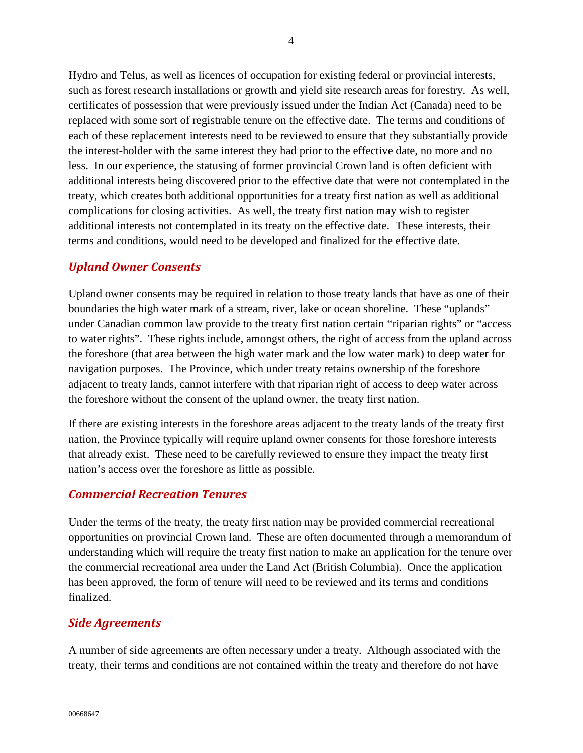Hydro and Telus, as well as licences of occupation for existing federal or provincial interests, such as forest research installations or growth and yield site research areas for forestry. As well, certificates of possession that were previously issued under the Indian Act (Canada) need to be replaced with some sort of registrable tenure on the effective date. The terms and conditions of each of these replacement interests need to be reviewed to ensure that they substantially provide the interest-holder with the same interest they had prior to the effective date, no more and no less. In our experience, the statusing of former provincial Crown land is often deficient with additional interests being discovered prior to the effective date that were not contemplated in the treaty, which creates both additional opportunities for a treaty first nation as well as additional complications for closing activities. As well, the treaty first nation may wish to register additional interests not contemplated in its treaty on the effective date. These interests, their terms and conditions, would need to be developed and finalized for the effective date.

#### <span id="page-3-0"></span>*Upland Owner Consents*

Upland owner consents may be required in relation to those treaty lands that have as one of their boundaries the high water mark of a stream, river, lake or ocean shoreline. These "uplands" under Canadian common law provide to the treaty first nation certain "riparian rights" or "access to water rights". These rights include, amongst others, the right of access from the upland across the foreshore (that area between the high water mark and the low water mark) to deep water for navigation purposes. The Province, which under treaty retains ownership of the foreshore adjacent to treaty lands, cannot interfere with that riparian right of access to deep water across the foreshore without the consent of the upland owner, the treaty first nation.

If there are existing interests in the foreshore areas adjacent to the treaty lands of the treaty first nation, the Province typically will require upland owner consents for those foreshore interests that already exist. These need to be carefully reviewed to ensure they impact the treaty first nation's access over the foreshore as little as possible.

#### <span id="page-3-1"></span>*Commercial Recreation Tenures*

Under the terms of the treaty, the treaty first nation may be provided commercial recreational opportunities on provincial Crown land. These are often documented through a memorandum of understanding which will require the treaty first nation to make an application for the tenure over the commercial recreational area under the Land Act (British Columbia). Once the application has been approved, the form of tenure will need to be reviewed and its terms and conditions finalized.

#### <span id="page-3-2"></span>*Side Agreements*

A number of side agreements are often necessary under a treaty. Although associated with the treaty, their terms and conditions are not contained within the treaty and therefore do not have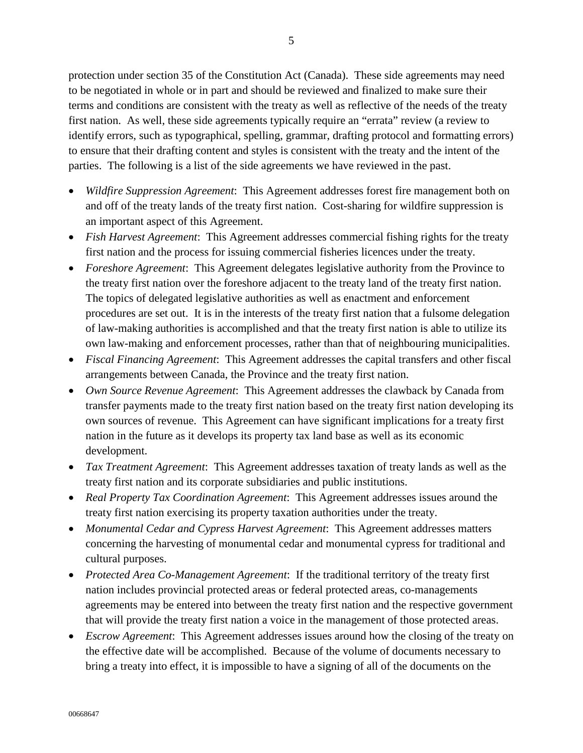protection under section 35 of the Constitution Act (Canada). These side agreements may need to be negotiated in whole or in part and should be reviewed and finalized to make sure their terms and conditions are consistent with the treaty as well as reflective of the needs of the treaty first nation. As well, these side agreements typically require an "errata" review (a review to identify errors, such as typographical, spelling, grammar, drafting protocol and formatting errors) to ensure that their drafting content and styles is consistent with the treaty and the intent of the parties. The following is a list of the side agreements we have reviewed in the past.

- *Wildfire Suppression Agreement*: This Agreement addresses forest fire management both on and off of the treaty lands of the treaty first nation. Cost-sharing for wildfire suppression is an important aspect of this Agreement.
- *Fish Harvest Agreement*: This Agreement addresses commercial fishing rights for the treaty first nation and the process for issuing commercial fisheries licences under the treaty.
- *Foreshore Agreement*: This Agreement delegates legislative authority from the Province to the treaty first nation over the foreshore adjacent to the treaty land of the treaty first nation. The topics of delegated legislative authorities as well as enactment and enforcement procedures are set out. It is in the interests of the treaty first nation that a fulsome delegation of law-making authorities is accomplished and that the treaty first nation is able to utilize its own law-making and enforcement processes, rather than that of neighbouring municipalities.
- *Fiscal Financing Agreement*: This Agreement addresses the capital transfers and other fiscal arrangements between Canada, the Province and the treaty first nation.
- *Own Source Revenue Agreement*: This Agreement addresses the clawback by Canada from transfer payments made to the treaty first nation based on the treaty first nation developing its own sources of revenue. This Agreement can have significant implications for a treaty first nation in the future as it develops its property tax land base as well as its economic development.
- *Tax Treatment Agreement*: This Agreement addresses taxation of treaty lands as well as the treaty first nation and its corporate subsidiaries and public institutions.
- *Real Property Tax Coordination Agreement*: This Agreement addresses issues around the treaty first nation exercising its property taxation authorities under the treaty.
- *Monumental Cedar and Cypress Harvest Agreement*: This Agreement addresses matters concerning the harvesting of monumental cedar and monumental cypress for traditional and cultural purposes.
- *Protected Area Co-Management Agreement*: If the traditional territory of the treaty first nation includes provincial protected areas or federal protected areas, co-managements agreements may be entered into between the treaty first nation and the respective government that will provide the treaty first nation a voice in the management of those protected areas.
- *Escrow Agreement*: This Agreement addresses issues around how the closing of the treaty on the effective date will be accomplished. Because of the volume of documents necessary to bring a treaty into effect, it is impossible to have a signing of all of the documents on the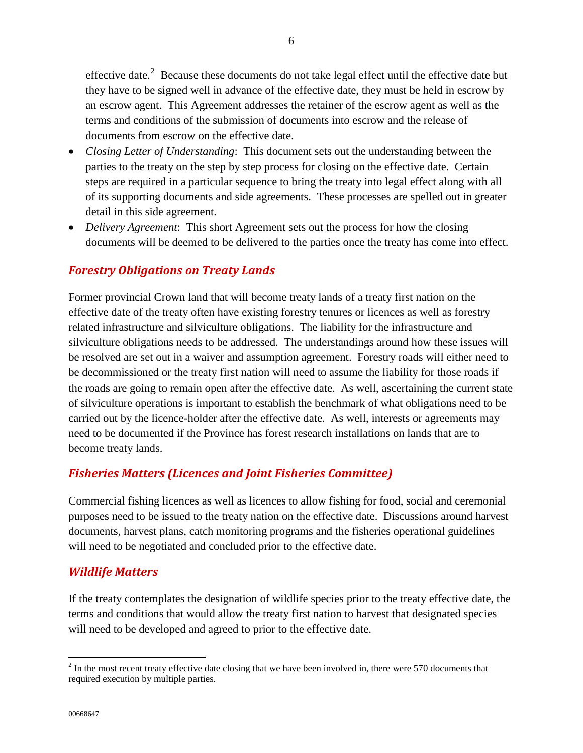effective date.<sup>[2](#page-5-0)</sup> Because these documents do not take legal effect until the effective date but they have to be signed well in advance of the effective date, they must be held in escrow by an escrow agent. This Agreement addresses the retainer of the escrow agent as well as the terms and conditions of the submission of documents into escrow and the release of documents from escrow on the effective date.

- *Closing Letter of Understanding*: This document sets out the understanding between the parties to the treaty on the step by step process for closing on the effective date. Certain steps are required in a particular sequence to bring the treaty into legal effect along with all of its supporting documents and side agreements. These processes are spelled out in greater detail in this side agreement.
- *Delivery Agreement*: This short Agreement sets out the process for how the closing documents will be deemed to be delivered to the parties once the treaty has come into effect.

## <span id="page-5-1"></span>*Forestry Obligations on Treaty Lands*

Former provincial Crown land that will become treaty lands of a treaty first nation on the effective date of the treaty often have existing forestry tenures or licences as well as forestry related infrastructure and silviculture obligations. The liability for the infrastructure and silviculture obligations needs to be addressed. The understandings around how these issues will be resolved are set out in a waiver and assumption agreement. Forestry roads will either need to be decommissioned or the treaty first nation will need to assume the liability for those roads if the roads are going to remain open after the effective date. As well, ascertaining the current state of silviculture operations is important to establish the benchmark of what obligations need to be carried out by the licence-holder after the effective date. As well, interests or agreements may need to be documented if the Province has forest research installations on lands that are to become treaty lands.

#### <span id="page-5-2"></span>*Fisheries Matters (Licences and Joint Fisheries Committee)*

Commercial fishing licences as well as licences to allow fishing for food, social and ceremonial purposes need to be issued to the treaty nation on the effective date. Discussions around harvest documents, harvest plans, catch monitoring programs and the fisheries operational guidelines will need to be negotiated and concluded prior to the effective date.

#### <span id="page-5-3"></span>*Wildlife Matters*

If the treaty contemplates the designation of wildlife species prior to the treaty effective date, the terms and conditions that would allow the treaty first nation to harvest that designated species will need to be developed and agreed to prior to the effective date.

<span id="page-5-0"></span> $2$  In the most recent treaty effective date closing that we have been involved in, there were 570 documents that required execution by multiple parties.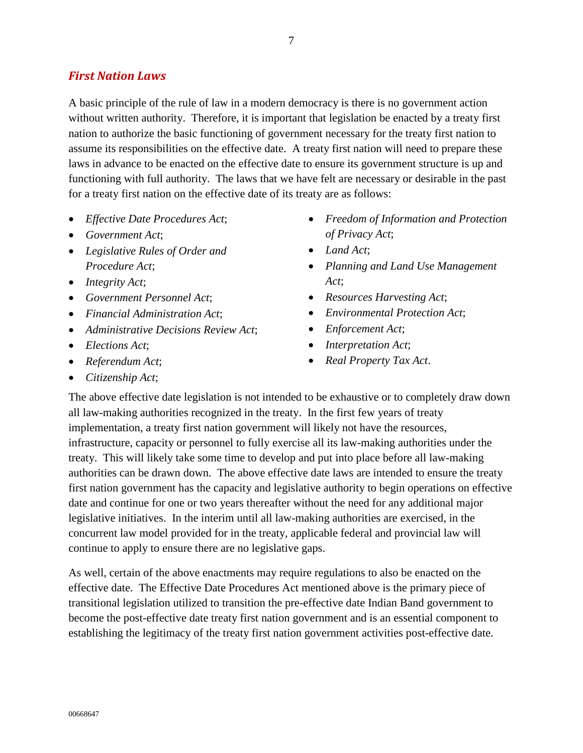### <span id="page-6-0"></span>*First Nation Laws*

A basic principle of the rule of law in a modern democracy is there is no government action without written authority. Therefore, it is important that legislation be enacted by a treaty first nation to authorize the basic functioning of government necessary for the treaty first nation to assume its responsibilities on the effective date. A treaty first nation will need to prepare these laws in advance to be enacted on the effective date to ensure its government structure is up and functioning with full authority. The laws that we have felt are necessary or desirable in the past for a treaty first nation on the effective date of its treaty are as follows:

- *Effective Date Procedures Act*;
- *Government Act*;
- *Legislative Rules of Order and Procedure Act*;
- *Integrity Act*;
- *Government Personnel Act*;
- *Financial Administration Act*;
- *Administrative Decisions Review Act*;
- *Elections Act*;
- *Referendum Act*;
- *Citizenship Act*;
- *Freedom of Information and Protection of Privacy Act*;
- *Land Act*;
- *Planning and Land Use Management Act*;
- *Resources Harvesting Act*;
- *Environmental Protection Act*;
- *Enforcement Act*;
- *Interpretation Act*;
- *Real Property Tax Act*.

The above effective date legislation is not intended to be exhaustive or to completely draw down all law-making authorities recognized in the treaty. In the first few years of treaty implementation, a treaty first nation government will likely not have the resources, infrastructure, capacity or personnel to fully exercise all its law-making authorities under the treaty. This will likely take some time to develop and put into place before all law-making authorities can be drawn down. The above effective date laws are intended to ensure the treaty first nation government has the capacity and legislative authority to begin operations on effective date and continue for one or two years thereafter without the need for any additional major legislative initiatives. In the interim until all law-making authorities are exercised, in the concurrent law model provided for in the treaty, applicable federal and provincial law will continue to apply to ensure there are no legislative gaps.

As well, certain of the above enactments may require regulations to also be enacted on the effective date. The Effective Date Procedures Act mentioned above is the primary piece of transitional legislation utilized to transition the pre-effective date Indian Band government to become the post-effective date treaty first nation government and is an essential component to establishing the legitimacy of the treaty first nation government activities post-effective date.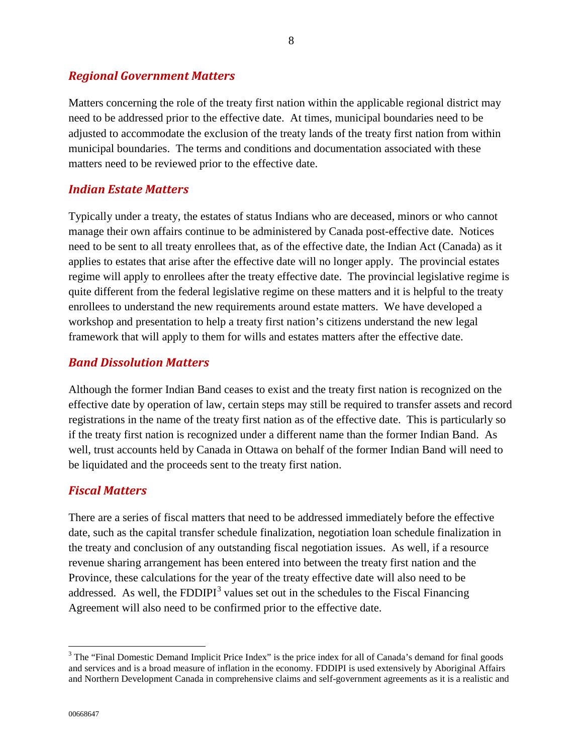#### <span id="page-7-1"></span>*Regional Government Matters*

Matters concerning the role of the treaty first nation within the applicable regional district may need to be addressed prior to the effective date. At times, municipal boundaries need to be adjusted to accommodate the exclusion of the treaty lands of the treaty first nation from within municipal boundaries. The terms and conditions and documentation associated with these matters need to be reviewed prior to the effective date.

#### <span id="page-7-2"></span>*Indian Estate Matters*

Typically under a treaty, the estates of status Indians who are deceased, minors or who cannot manage their own affairs continue to be administered by Canada post-effective date. Notices need to be sent to all treaty enrollees that, as of the effective date, the Indian Act (Canada) as it applies to estates that arise after the effective date will no longer apply. The provincial estates regime will apply to enrollees after the treaty effective date. The provincial legislative regime is quite different from the federal legislative regime on these matters and it is helpful to the treaty enrollees to understand the new requirements around estate matters. We have developed a workshop and presentation to help a treaty first nation's citizens understand the new legal framework that will apply to them for wills and estates matters after the effective date.

#### <span id="page-7-3"></span>*Band Dissolution Matters*

Although the former Indian Band ceases to exist and the treaty first nation is recognized on the effective date by operation of law, certain steps may still be required to transfer assets and record registrations in the name of the treaty first nation as of the effective date. This is particularly so if the treaty first nation is recognized under a different name than the former Indian Band. As well, trust accounts held by Canada in Ottawa on behalf of the former Indian Band will need to be liquidated and the proceeds sent to the treaty first nation.

#### <span id="page-7-4"></span>*Fiscal Matters*

There are a series of fiscal matters that need to be addressed immediately before the effective date, such as the capital transfer schedule finalization, negotiation loan schedule finalization in the treaty and conclusion of any outstanding fiscal negotiation issues. As well, if a resource revenue sharing arrangement has been entered into between the treaty first nation and the Province, these calculations for the year of the treaty effective date will also need to be addressed. As well, the FDDIPI $3$  values set out in the schedules to the Fiscal Financing Agreement will also need to be confirmed prior to the effective date.

<span id="page-7-0"></span><sup>&</sup>lt;sup>3</sup> The "Final Domestic Demand Implicit Price Index" is the price index for all of Canada's demand for final goods and services and is a broad measure of inflation in the economy. FDDIPI is used extensively by Aboriginal Affairs and Northern Development Canada in comprehensive claims and self-government agreements as it is a realistic and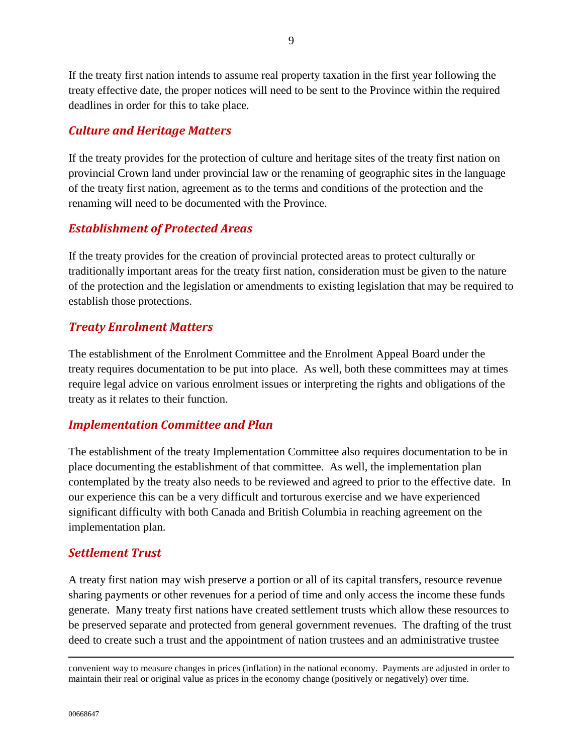If the treaty first nation intends to assume real property taxation in the first year following the treaty effective date, the proper notices will need to be sent to the Province within the required deadlines in order for this to take place.

## <span id="page-8-0"></span>*Culture and Heritage Matters*

If the treaty provides for the protection of culture and heritage sites of the treaty first nation on provincial Crown land under provincial law or the renaming of geographic sites in the language of the treaty first nation, agreement as to the terms and conditions of the protection and the renaming will need to be documented with the Province.

## <span id="page-8-1"></span>*Establishment of Protected Areas*

If the treaty provides for the creation of provincial protected areas to protect culturally or traditionally important areas for the treaty first nation, consideration must be given to the nature of the protection and the legislation or amendments to existing legislation that may be required to establish those protections.

## <span id="page-8-2"></span>*Treaty Enrolment Matters*

The establishment of the Enrolment Committee and the Enrolment Appeal Board under the treaty requires documentation to be put into place. As well, both these committees may at times require legal advice on various enrolment issues or interpreting the rights and obligations of the treaty as it relates to their function.

## <span id="page-8-3"></span>*Implementation Committee and Plan*

The establishment of the treaty Implementation Committee also requires documentation to be in place documenting the establishment of that committee. As well, the implementation plan contemplated by the treaty also needs to be reviewed and agreed to prior to the effective date. In our experience this can be a very difficult and torturous exercise and we have experienced significant difficulty with both Canada and British Columbia in reaching agreement on the implementation plan.

## <span id="page-8-4"></span>*Settlement Trust*

A treaty first nation may wish preserve a portion or all of its capital transfers, resource revenue sharing payments or other revenues for a period of time and only access the income these funds generate. Many treaty first nations have created settlement trusts which allow these resources to be preserved separate and protected from general government revenues. The drafting of the trust deed to create such a trust and the appointment of nation trustees and an administrative trustee

 $\overline{a}$ 

convenient way to measure changes in prices (inflation) in the national economy. Payments are adjusted in order to maintain their real or original value as prices in the economy change (positively or negatively) over time.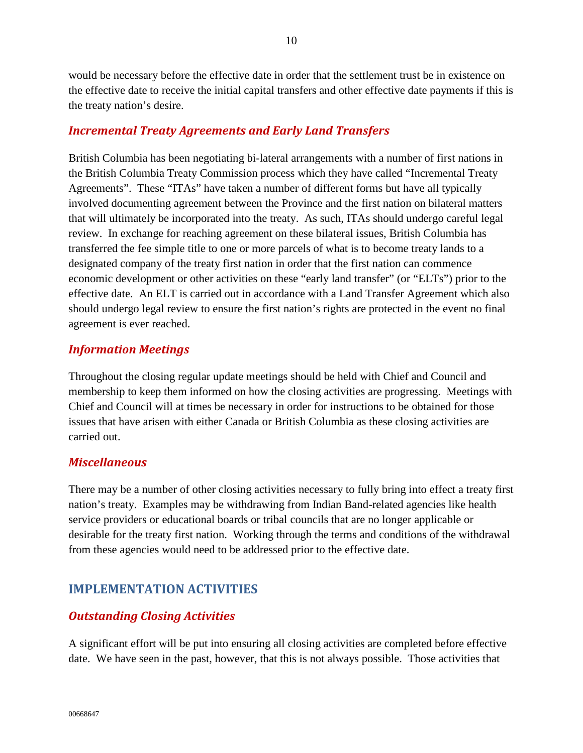would be necessary before the effective date in order that the settlement trust be in existence on the effective date to receive the initial capital transfers and other effective date payments if this is the treaty nation's desire.

## <span id="page-9-0"></span>*Incremental Treaty Agreements and Early Land Transfers*

British Columbia has been negotiating bi-lateral arrangements with a number of first nations in the British Columbia Treaty Commission process which they have called "Incremental Treaty Agreements". These "ITAs" have taken a number of different forms but have all typically involved documenting agreement between the Province and the first nation on bilateral matters that will ultimately be incorporated into the treaty. As such, ITAs should undergo careful legal review. In exchange for reaching agreement on these bilateral issues, British Columbia has transferred the fee simple title to one or more parcels of what is to become treaty lands to a designated company of the treaty first nation in order that the first nation can commence economic development or other activities on these "early land transfer" (or "ELTs") prior to the effective date. An ELT is carried out in accordance with a Land Transfer Agreement which also should undergo legal review to ensure the first nation's rights are protected in the event no final agreement is ever reached.

## <span id="page-9-1"></span>*Information Meetings*

Throughout the closing regular update meetings should be held with Chief and Council and membership to keep them informed on how the closing activities are progressing. Meetings with Chief and Council will at times be necessary in order for instructions to be obtained for those issues that have arisen with either Canada or British Columbia as these closing activities are carried out.

## <span id="page-9-2"></span>*Miscellaneous*

There may be a number of other closing activities necessary to fully bring into effect a treaty first nation's treaty. Examples may be withdrawing from Indian Band-related agencies like health service providers or educational boards or tribal councils that are no longer applicable or desirable for the treaty first nation. Working through the terms and conditions of the withdrawal from these agencies would need to be addressed prior to the effective date.

## <span id="page-9-3"></span>**IMPLEMENTATION ACTIVITIES**

## <span id="page-9-4"></span>*Outstanding Closing Activities*

A significant effort will be put into ensuring all closing activities are completed before effective date. We have seen in the past, however, that this is not always possible. Those activities that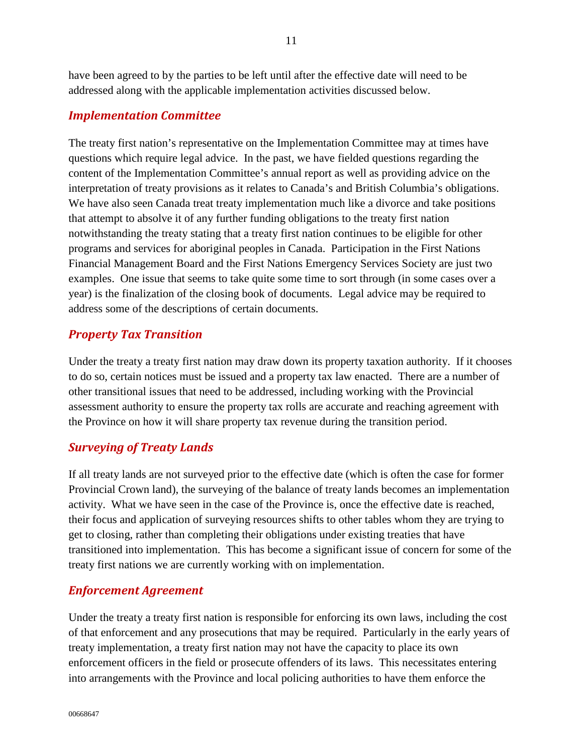have been agreed to by the parties to be left until after the effective date will need to be addressed along with the applicable implementation activities discussed below.

#### <span id="page-10-0"></span>*Implementation Committee*

The treaty first nation's representative on the Implementation Committee may at times have questions which require legal advice. In the past, we have fielded questions regarding the content of the Implementation Committee's annual report as well as providing advice on the interpretation of treaty provisions as it relates to Canada's and British Columbia's obligations. We have also seen Canada treat treaty implementation much like a divorce and take positions that attempt to absolve it of any further funding obligations to the treaty first nation notwithstanding the treaty stating that a treaty first nation continues to be eligible for other programs and services for aboriginal peoples in Canada. Participation in the First Nations Financial Management Board and the First Nations Emergency Services Society are just two examples. One issue that seems to take quite some time to sort through (in some cases over a year) is the finalization of the closing book of documents. Legal advice may be required to address some of the descriptions of certain documents.

#### <span id="page-10-1"></span>*Property Tax Transition*

Under the treaty a treaty first nation may draw down its property taxation authority. If it chooses to do so, certain notices must be issued and a property tax law enacted. There are a number of other transitional issues that need to be addressed, including working with the Provincial assessment authority to ensure the property tax rolls are accurate and reaching agreement with the Province on how it will share property tax revenue during the transition period.

#### <span id="page-10-2"></span>*Surveying of Treaty Lands*

If all treaty lands are not surveyed prior to the effective date (which is often the case for former Provincial Crown land), the surveying of the balance of treaty lands becomes an implementation activity. What we have seen in the case of the Province is, once the effective date is reached, their focus and application of surveying resources shifts to other tables whom they are trying to get to closing, rather than completing their obligations under existing treaties that have transitioned into implementation. This has become a significant issue of concern for some of the treaty first nations we are currently working with on implementation.

#### <span id="page-10-3"></span>*Enforcement Agreement*

Under the treaty a treaty first nation is responsible for enforcing its own laws, including the cost of that enforcement and any prosecutions that may be required. Particularly in the early years of treaty implementation, a treaty first nation may not have the capacity to place its own enforcement officers in the field or prosecute offenders of its laws. This necessitates entering into arrangements with the Province and local policing authorities to have them enforce the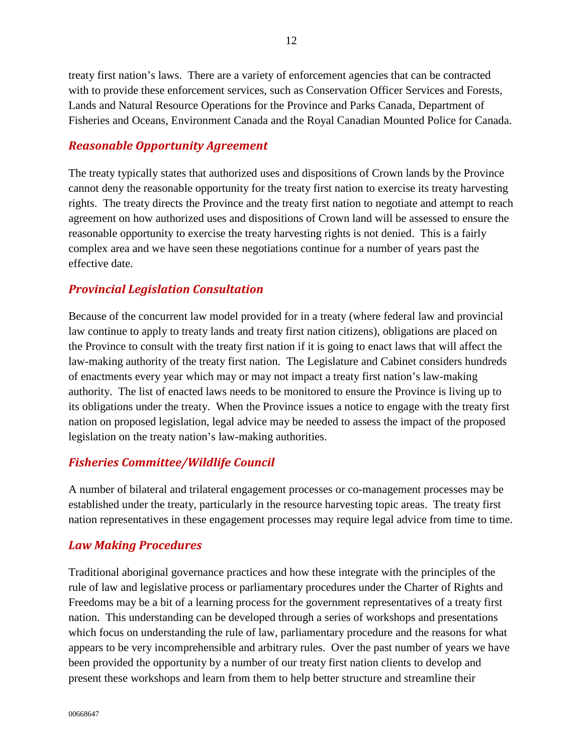treaty first nation's laws. There are a variety of enforcement agencies that can be contracted with to provide these enforcement services, such as Conservation Officer Services and Forests, Lands and Natural Resource Operations for the Province and Parks Canada, Department of Fisheries and Oceans, Environment Canada and the Royal Canadian Mounted Police for Canada.

### <span id="page-11-0"></span>*Reasonable Opportunity Agreement*

The treaty typically states that authorized uses and dispositions of Crown lands by the Province cannot deny the reasonable opportunity for the treaty first nation to exercise its treaty harvesting rights. The treaty directs the Province and the treaty first nation to negotiate and attempt to reach agreement on how authorized uses and dispositions of Crown land will be assessed to ensure the reasonable opportunity to exercise the treaty harvesting rights is not denied. This is a fairly complex area and we have seen these negotiations continue for a number of years past the effective date.

## <span id="page-11-1"></span>*Provincial Legislation Consultation*

Because of the concurrent law model provided for in a treaty (where federal law and provincial law continue to apply to treaty lands and treaty first nation citizens), obligations are placed on the Province to consult with the treaty first nation if it is going to enact laws that will affect the law-making authority of the treaty first nation. The Legislature and Cabinet considers hundreds of enactments every year which may or may not impact a treaty first nation's law-making authority. The list of enacted laws needs to be monitored to ensure the Province is living up to its obligations under the treaty. When the Province issues a notice to engage with the treaty first nation on proposed legislation, legal advice may be needed to assess the impact of the proposed legislation on the treaty nation's law-making authorities.

#### <span id="page-11-2"></span>*Fisheries Committee/Wildlife Council*

A number of bilateral and trilateral engagement processes or co-management processes may be established under the treaty, particularly in the resource harvesting topic areas. The treaty first nation representatives in these engagement processes may require legal advice from time to time.

## <span id="page-11-3"></span>*Law Making Procedures*

Traditional aboriginal governance practices and how these integrate with the principles of the rule of law and legislative process or parliamentary procedures under the Charter of Rights and Freedoms may be a bit of a learning process for the government representatives of a treaty first nation. This understanding can be developed through a series of workshops and presentations which focus on understanding the rule of law, parliamentary procedure and the reasons for what appears to be very incomprehensible and arbitrary rules. Over the past number of years we have been provided the opportunity by a number of our treaty first nation clients to develop and present these workshops and learn from them to help better structure and streamline their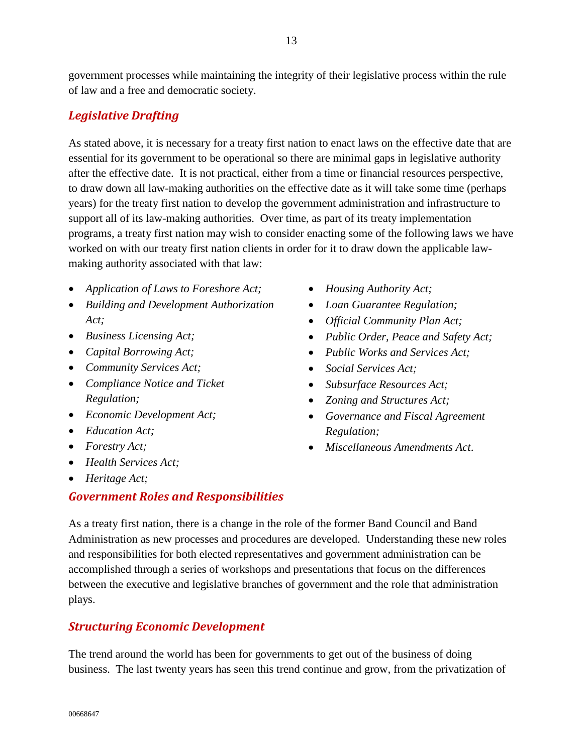government processes while maintaining the integrity of their legislative process within the rule of law and a free and democratic society.

## <span id="page-12-0"></span>*Legislative Drafting*

As stated above, it is necessary for a treaty first nation to enact laws on the effective date that are essential for its government to be operational so there are minimal gaps in legislative authority after the effective date. It is not practical, either from a time or financial resources perspective, to draw down all law-making authorities on the effective date as it will take some time (perhaps years) for the treaty first nation to develop the government administration and infrastructure to support all of its law-making authorities. Over time, as part of its treaty implementation programs, a treaty first nation may wish to consider enacting some of the following laws we have worked on with our treaty first nation clients in order for it to draw down the applicable lawmaking authority associated with that law:

- *Application of Laws to Foreshore Act;*
- *Building and Development Authorization Act;*
- *Business Licensing Act;*
- *Capital Borrowing Act;*
- *Community Services Act;*
- *Compliance Notice and Ticket Regulation;*
- *Economic Development Act;*
- *Education Act;*
- *Forestry Act;*
- *Health Services Act;*
- *Heritage Act;*

## <span id="page-12-1"></span>*Government Roles and Responsibilities*

- *Housing Authority Act;*
- *Loan Guarantee Regulation;*
- *Official Community Plan Act;*
- *Public Order, Peace and Safety Act;*
- *Public Works and Services Act;*
- *Social Services Act;*
- *Subsurface Resources Act;*
- *Zoning and Structures Act;*
- *Governance and Fiscal Agreement Regulation;*
- *Miscellaneous Amendments Act*.

As a treaty first nation, there is a change in the role of the former Band Council and Band Administration as new processes and procedures are developed. Understanding these new roles and responsibilities for both elected representatives and government administration can be accomplished through a series of workshops and presentations that focus on the differences between the executive and legislative branches of government and the role that administration plays.

## <span id="page-12-2"></span>*Structuring Economic Development*

The trend around the world has been for governments to get out of the business of doing business. The last twenty years has seen this trend continue and grow, from the privatization of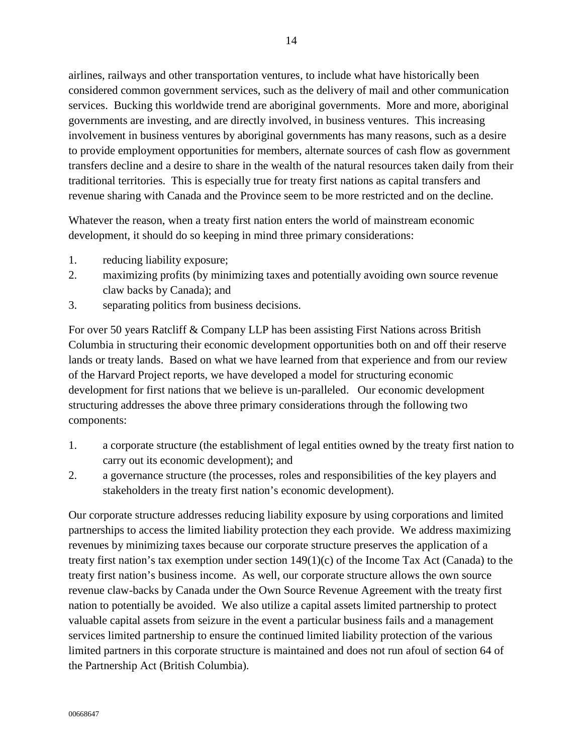airlines, railways and other transportation ventures, to include what have historically been considered common government services, such as the delivery of mail and other communication services. Bucking this worldwide trend are aboriginal governments. More and more, aboriginal governments are investing, and are directly involved, in business ventures. This increasing involvement in business ventures by aboriginal governments has many reasons, such as a desire to provide employment opportunities for members, alternate sources of cash flow as government transfers decline and a desire to share in the wealth of the natural resources taken daily from their traditional territories. This is especially true for treaty first nations as capital transfers and revenue sharing with Canada and the Province seem to be more restricted and on the decline.

Whatever the reason, when a treaty first nation enters the world of mainstream economic development, it should do so keeping in mind three primary considerations:

- 1. reducing liability exposure;
- 2. maximizing profits (by minimizing taxes and potentially avoiding own source revenue claw backs by Canada); and
- 3. separating politics from business decisions.

For over 50 years Ratcliff & Company LLP has been assisting First Nations across British Columbia in structuring their economic development opportunities both on and off their reserve lands or treaty lands. Based on what we have learned from that experience and from our review of the Harvard Project reports, we have developed a model for structuring economic development for first nations that we believe is un-paralleled. Our economic development structuring addresses the above three primary considerations through the following two components:

- 1. a corporate structure (the establishment of legal entities owned by the treaty first nation to carry out its economic development); and
- 2. a governance structure (the processes, roles and responsibilities of the key players and stakeholders in the treaty first nation's economic development).

Our corporate structure addresses reducing liability exposure by using corporations and limited partnerships to access the limited liability protection they each provide. We address maximizing revenues by minimizing taxes because our corporate structure preserves the application of a treaty first nation's tax exemption under section  $149(1)(c)$  of the Income Tax Act (Canada) to the treaty first nation's business income. As well, our corporate structure allows the own source revenue claw-backs by Canada under the Own Source Revenue Agreement with the treaty first nation to potentially be avoided. We also utilize a capital assets limited partnership to protect valuable capital assets from seizure in the event a particular business fails and a management services limited partnership to ensure the continued limited liability protection of the various limited partners in this corporate structure is maintained and does not run afoul of section 64 of the Partnership Act (British Columbia).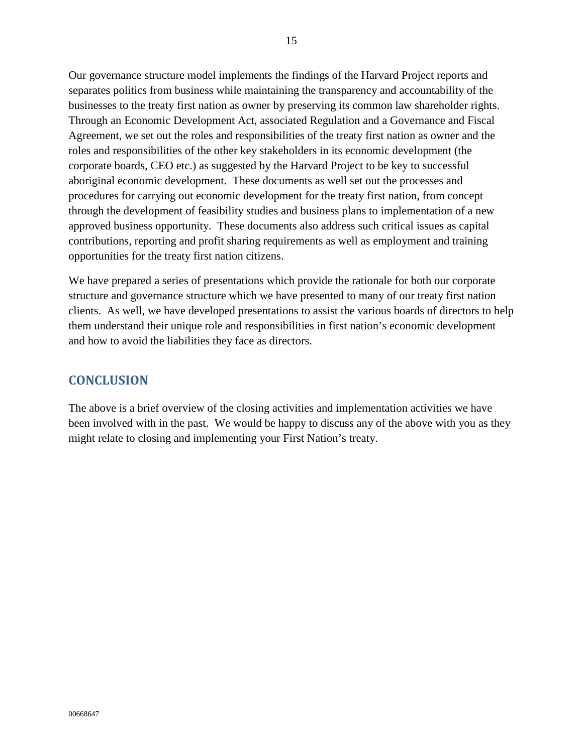Our governance structure model implements the findings of the Harvard Project reports and separates politics from business while maintaining the transparency and accountability of the businesses to the treaty first nation as owner by preserving its common law shareholder rights. Through an Economic Development Act, associated Regulation and a Governance and Fiscal Agreement, we set out the roles and responsibilities of the treaty first nation as owner and the roles and responsibilities of the other key stakeholders in its economic development (the corporate boards, CEO etc.) as suggested by the Harvard Project to be key to successful aboriginal economic development. These documents as well set out the processes and procedures for carrying out economic development for the treaty first nation, from concept through the development of feasibility studies and business plans to implementation of a new approved business opportunity. These documents also address such critical issues as capital contributions, reporting and profit sharing requirements as well as employment and training opportunities for the treaty first nation citizens.

We have prepared a series of presentations which provide the rationale for both our corporate structure and governance structure which we have presented to many of our treaty first nation clients. As well, we have developed presentations to assist the various boards of directors to help them understand their unique role and responsibilities in first nation's economic development and how to avoid the liabilities they face as directors.

## <span id="page-14-0"></span>**CONCLUSION**

The above is a brief overview of the closing activities and implementation activities we have been involved with in the past. We would be happy to discuss any of the above with you as they might relate to closing and implementing your First Nation's treaty.